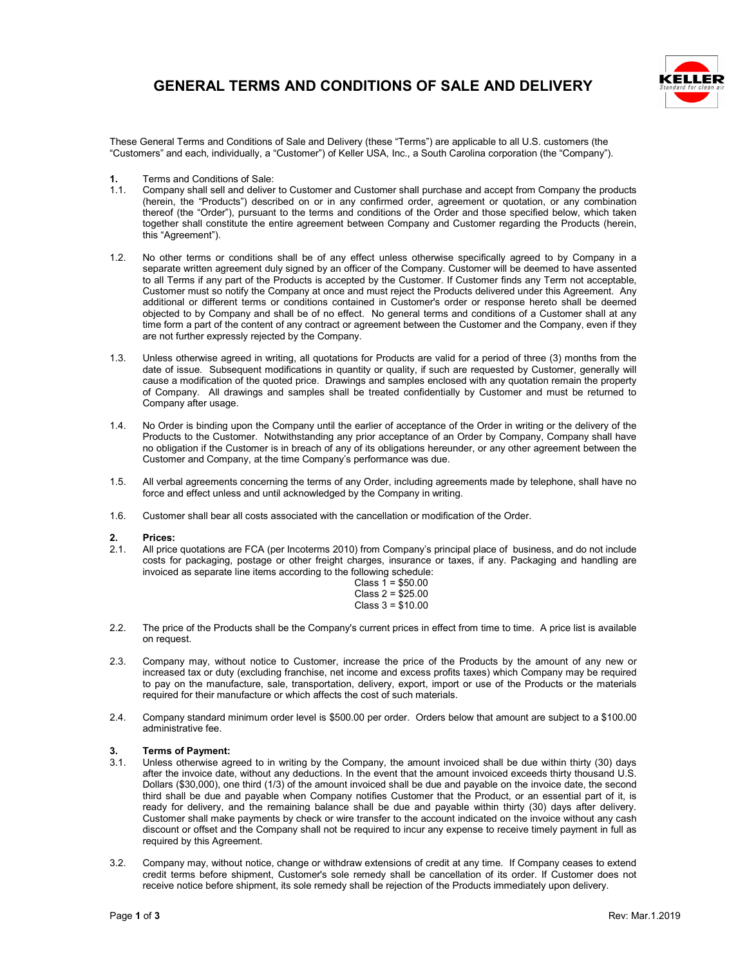#### **GENERAL TERMS AND CONDITIONS OF SALE AND DELIVERY**



These General Terms and Conditions of Sale and Delivery (these "Terms") are applicable to all U.S. customers (the "Customers" and each, individually, a "Customer") of Keller USA, Inc., a South Carolina corporation (the "Company").

- **1.** Terms and Conditions of Sale:<br>1.1. Company shall sell and deliver
- 1.1. Company shall sell and deliver to Customer and Customer shall purchase and accept from Company the products (herein, the "Products") described on or in any confirmed order, agreement or quotation, or any combination thereof (the "Order"), pursuant to the terms and conditions of the Order and those specified below, which taken together shall constitute the entire agreement between Company and Customer regarding the Products (herein, this "Agreement").
- 1.2. No other terms or conditions shall be of any effect unless otherwise specifically agreed to by Company in a separate written agreement duly signed by an officer of the Company. Customer will be deemed to have assented to all Terms if any part of the Products is accepted by the Customer. If Customer finds any Term not acceptable, Customer must so notify the Company at once and must reject the Products delivered under this Agreement. Any additional or different terms or conditions contained in Customer's order or response hereto shall be deemed objected to by Company and shall be of no effect. No general terms and conditions of a Customer shall at any time form a part of the content of any contract or agreement between the Customer and the Company, even if they are not further expressly rejected by the Company.
- 1.3. Unless otherwise agreed in writing, all quotations for Products are valid for a period of three (3) months from the date of issue. Subsequent modifications in quantity or quality, if such are requested by Customer, generally will cause a modification of the quoted price. Drawings and samples enclosed with any quotation remain the property of Company. All drawings and samples shall be treated confidentially by Customer and must be returned to Company after usage.
- 1.4. No Order is binding upon the Company until the earlier of acceptance of the Order in writing or the delivery of the Products to the Customer. Notwithstanding any prior acceptance of an Order by Company, Company shall have no obligation if the Customer is in breach of any of its obligations hereunder, or any other agreement between the Customer and Company, at the time Company's performance was due.
- 1.5. All verbal agreements concerning the terms of any Order, including agreements made by telephone, shall have no force and effect unless and until acknowledged by the Company in writing.
- 1.6. Customer shall bear all costs associated with the cancellation or modification of the Order.

### **2. Prices:**

2.1. All price quotations are FCA (per Incoterms 2010) from Company's principal place of business, and do not include costs for packaging, postage or other freight charges, insurance or taxes, if any. Packaging and handling are invoiced as separate line items according to the following schedule:

| Class 1 = \$50.00  |  |
|--------------------|--|
| Class 2 = \$25.00  |  |
| $Class 3 = $10.00$ |  |

- 2.2. The price of the Products shall be the Company's current prices in effect from time to time. A price list is available on request.
- 2.3. Company may, without notice to Customer, increase the price of the Products by the amount of any new or increased tax or duty (excluding franchise, net income and excess profits taxes) which Company may be required to pay on the manufacture, sale, transportation, delivery, export, import or use of the Products or the materials required for their manufacture or which affects the cost of such materials.
- 2.4. Company standard minimum order level is \$500.00 per order. Orders below that amount are subject to a \$100.00 administrative fee.

## **3. Terms of Payment:**

- 3.1. Unless otherwise agreed to in writing by the Company, the amount invoiced shall be due within thirty (30) days after the invoice date, without any deductions. In the event that the amount invoiced exceeds thirty thousand U.S. Dollars (\$30,000), one third (1/3) of the amount invoiced shall be due and payable on the invoice date, the second third shall be due and payable when Company notifies Customer that the Product, or an essential part of it, is ready for delivery, and the remaining balance shall be due and payable within thirty (30) days after delivery. Customer shall make payments by check or wire transfer to the account indicated on the invoice without any cash discount or offset and the Company shall not be required to incur any expense to receive timely payment in full as required by this Agreement.
- 3.2. Company may, without notice, change or withdraw extensions of credit at any time. If Company ceases to extend credit terms before shipment, Customer's sole remedy shall be cancellation of its order. If Customer does not receive notice before shipment, its sole remedy shall be rejection of the Products immediately upon delivery.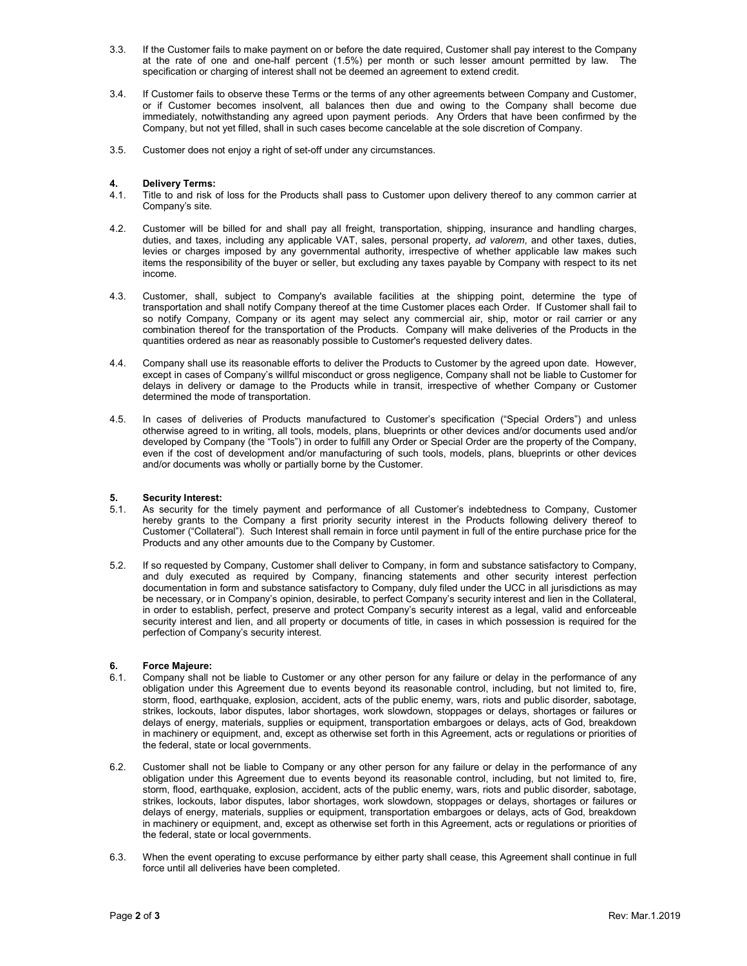- 3.3. If the Customer fails to make payment on or before the date required, Customer shall pay interest to the Company at the rate of one and one-half percent (1.5%) per month or such lesser amount permitted by law. The specification or charging of interest shall not be deemed an agreement to extend credit.
- 3.4. If Customer fails to observe these Terms or the terms of any other agreements between Company and Customer, or if Customer becomes insolvent, all balances then due and owing to the Company shall become due immediately, notwithstanding any agreed upon payment periods. Any Orders that have been confirmed by the Company, but not yet filled, shall in such cases become cancelable at the sole discretion of Company.
- 3.5. Customer does not enjoy a right of set-off under any circumstances.

# **4. Delivery Terms:**

- Title to and risk of loss for the Products shall pass to Customer upon delivery thereof to any common carrier at Company's site.
- 4.2. Customer will be billed for and shall pay all freight, transportation, shipping, insurance and handling charges, duties, and taxes, including any applicable VAT, sales, personal property, *ad valorem*, and other taxes, duties, levies or charges imposed by any governmental authority, irrespective of whether applicable law makes such items the responsibility of the buyer or seller, but excluding any taxes payable by Company with respect to its net income.
- 4.3. Customer, shall, subject to Company's available facilities at the shipping point, determine the type of transportation and shall notify Company thereof at the time Customer places each Order. If Customer shall fail to so notify Company, Company or its agent may select any commercial air, ship, motor or rail carrier or any combination thereof for the transportation of the Products. Company will make deliveries of the Products in the quantities ordered as near as reasonably possible to Customer's requested delivery dates.
- 4.4. Company shall use its reasonable efforts to deliver the Products to Customer by the agreed upon date. However, except in cases of Company's willful misconduct or gross negligence, Company shall not be liable to Customer for delays in delivery or damage to the Products while in transit, irrespective of whether Company or Customer determined the mode of transportation.
- 4.5. In cases of deliveries of Products manufactured to Customer's specification ("Special Orders") and unless otherwise agreed to in writing, all tools, models, plans, blueprints or other devices and/or documents used and/or developed by Company (the "Tools") in order to fulfill any Order or Special Order are the property of the Company, even if the cost of development and/or manufacturing of such tools, models, plans, blueprints or other devices and/or documents was wholly or partially borne by the Customer.

# **5. Security Interest:**<br>5.1. As security for the

- As security for the timely payment and performance of all Customer's indebtedness to Company, Customer hereby grants to the Company a first priority security interest in the Products following delivery thereof to Customer ("Collateral"). Such Interest shall remain in force until payment in full of the entire purchase price for the Products and any other amounts due to the Company by Customer.
- 5.2. If so requested by Company, Customer shall deliver to Company, in form and substance satisfactory to Company, and duly executed as required by Company, financing statements and other security interest perfection documentation in form and substance satisfactory to Company, duly filed under the UCC in all jurisdictions as may be necessary, or in Company's opinion, desirable, to perfect Company's security interest and lien in the Collateral, in order to establish, perfect, preserve and protect Company's security interest as a legal, valid and enforceable security interest and lien, and all property or documents of title, in cases in which possession is required for the perfection of Company's security interest.

### **6. Force Majeure:**

- Company shall not be liable to Customer or any other person for any failure or delay in the performance of any obligation under this Agreement due to events beyond its reasonable control, including, but not limited to, fire, storm, flood, earthquake, explosion, accident, acts of the public enemy, wars, riots and public disorder, sabotage, strikes, lockouts, labor disputes, labor shortages, work slowdown, stoppages or delays, shortages or failures or delays of energy, materials, supplies or equipment, transportation embargoes or delays, acts of God, breakdown in machinery or equipment, and, except as otherwise set forth in this Agreement, acts or regulations or priorities of the federal, state or local governments.
- 6.2. Customer shall not be liable to Company or any other person for any failure or delay in the performance of any obligation under this Agreement due to events beyond its reasonable control, including, but not limited to, fire, storm, flood, earthquake, explosion, accident, acts of the public enemy, wars, riots and public disorder, sabotage, strikes, lockouts, labor disputes, labor shortages, work slowdown, stoppages or delays, shortages or failures or delays of energy, materials, supplies or equipment, transportation embargoes or delays, acts of God, breakdown in machinery or equipment, and, except as otherwise set forth in this Agreement, acts or regulations or priorities of the federal, state or local governments.
- 6.3. When the event operating to excuse performance by either party shall cease, this Agreement shall continue in full force until all deliveries have been completed.